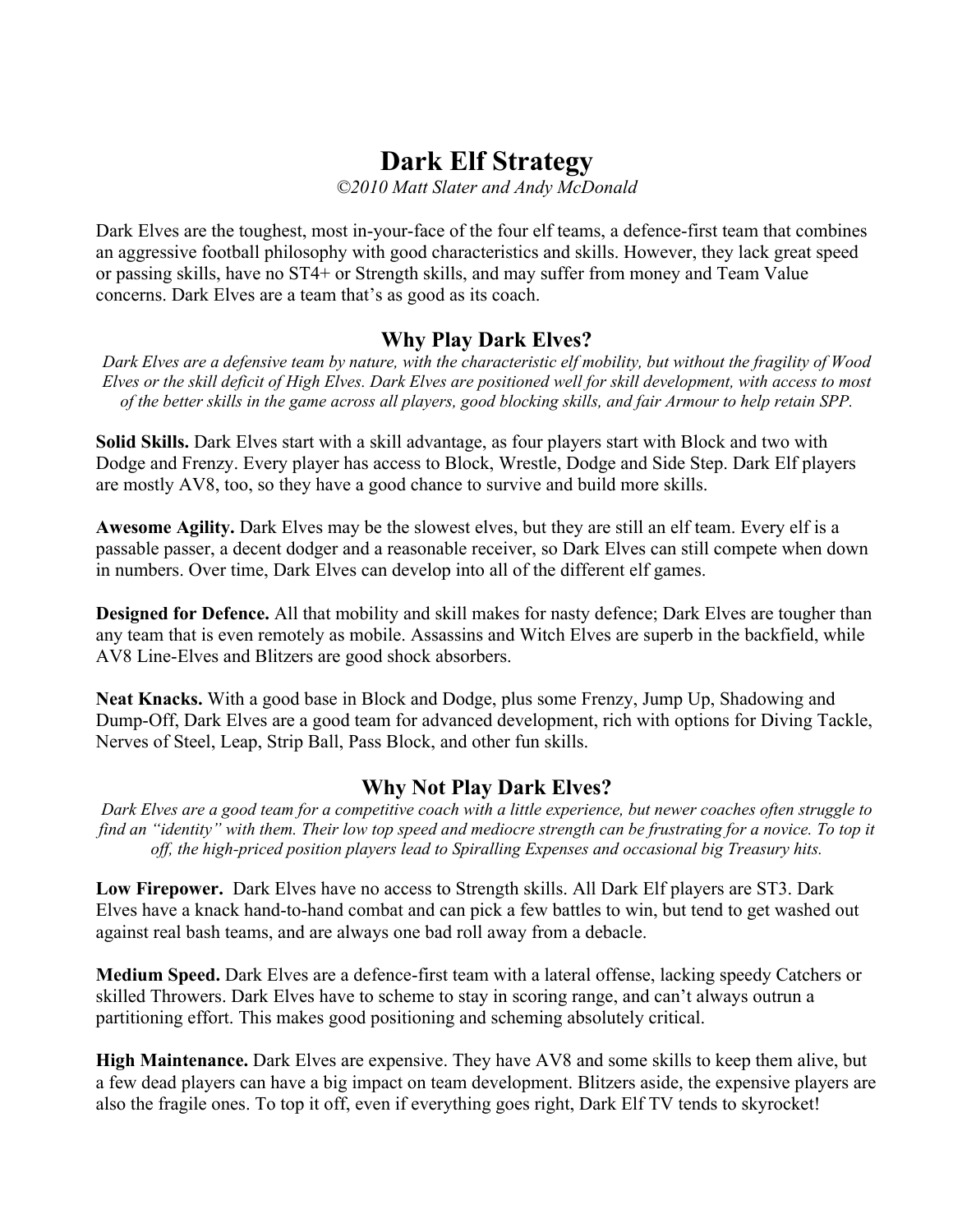## **Dark Elf Strategy**

*©2010 Matt Slater and Andy McDonald*

Dark Elves are the toughest, most in-your-face of the four elf teams, a defence-first team that combines an aggressive football philosophy with good characteristics and skills. However, they lack great speed or passing skills, have no ST4+ or Strength skills, and may suffer from money and Team Value concerns. Dark Elves are a team that's as good as its coach.

## **Why Play Dark Elves?**

*Dark Elves are a defensive team by nature, with the characteristic elf mobility, but without the fragility of Wood Elves or the skill deficit of High Elves. Dark Elves are positioned well for skill development, with access to most of the better skills in the game across all players, good blocking skills, and fair Armour to help retain SPP.*

**Solid Skills.** Dark Elves start with a skill advantage, as four players start with Block and two with Dodge and Frenzy. Every player has access to Block, Wrestle, Dodge and Side Step. Dark Elf players are mostly AV8, too, so they have a good chance to survive and build more skills.

**Awesome Agility.** Dark Elves may be the slowest elves, but they are still an elf team. Every elf is a passable passer, a decent dodger and a reasonable receiver, so Dark Elves can still compete when down in numbers. Over time, Dark Elves can develop into all of the different elf games.

**Designed for Defence.** All that mobility and skill makes for nasty defence; Dark Elves are tougher than any team that is even remotely as mobile. Assassins and Witch Elves are superb in the backfield, while AV8 Line-Elves and Blitzers are good shock absorbers.

**Neat Knacks.** With a good base in Block and Dodge, plus some Frenzy, Jump Up, Shadowing and Dump-Off, Dark Elves are a good team for advanced development, rich with options for Diving Tackle, Nerves of Steel, Leap, Strip Ball, Pass Block, and other fun skills.

## **Why Not Play Dark Elves?**

*Dark Elves are a good team for a competitive coach with a little experience, but newer coaches often struggle to*  find an "identity" with them. Their low top speed and mediocre strength can be frustrating for a novice. To top it *off, the high-priced position players lead to Spiralling Expenses and occasional big Treasury hits.*

**Low Firepower.** Dark Elves have no access to Strength skills. All Dark Elf players are ST3. Dark Elves have a knack hand-to-hand combat and can pick a few battles to win, but tend to get washed out against real bash teams, and are always one bad roll away from a debacle.

**Medium Speed.** Dark Elves are a defence-first team with a lateral offense, lacking speedy Catchers or skilled Throwers. Dark Elves have to scheme to stay in scoring range, and can't always outrun a partitioning effort. This makes good positioning and scheming absolutely critical.

**High Maintenance.** Dark Elves are expensive. They have AV8 and some skills to keep them alive, but a few dead players can have a big impact on team development. Blitzers aside, the expensive players are also the fragile ones. To top it off, even if everything goes right, Dark Elf TV tends to skyrocket!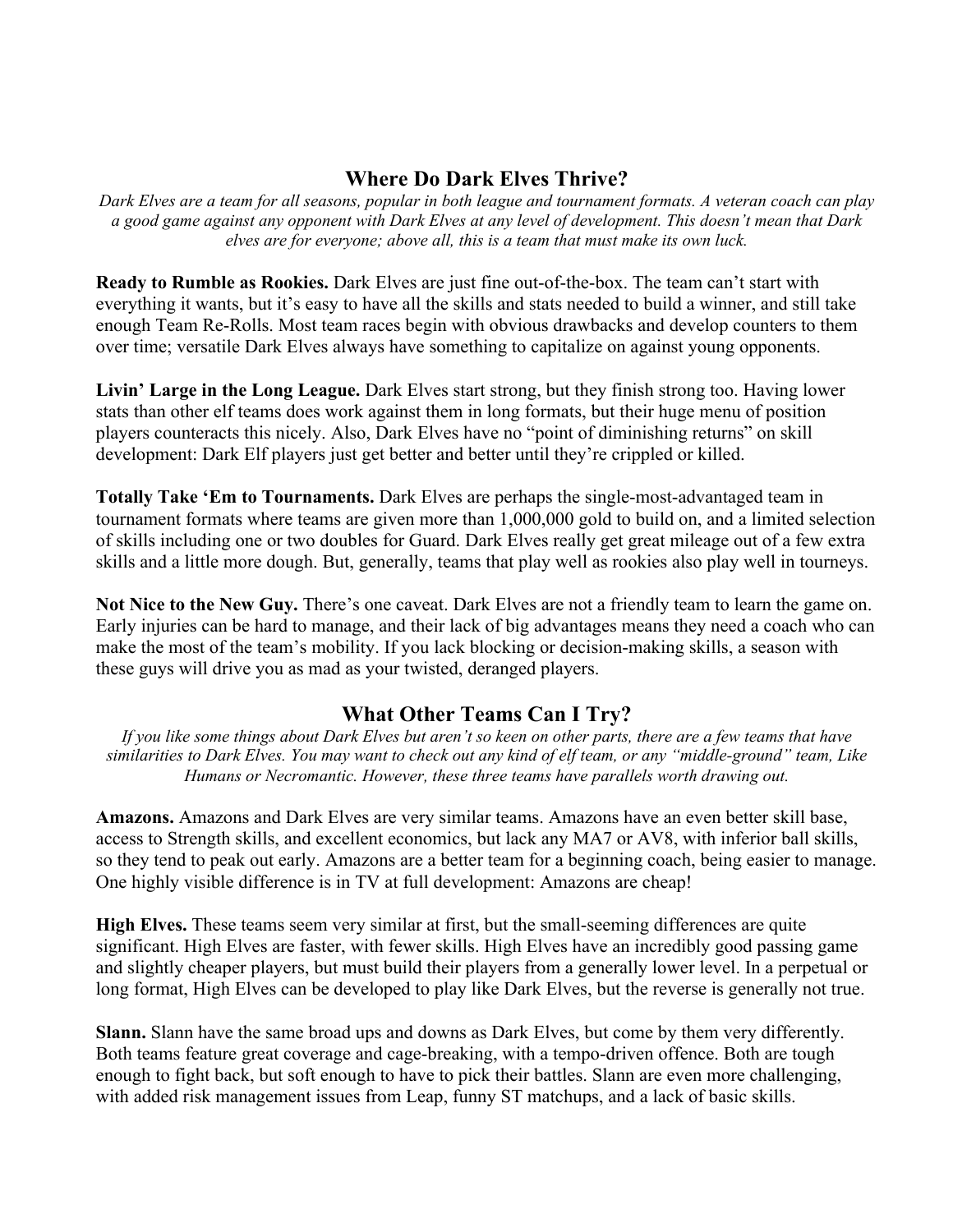## **Where Do Dark Elves Thrive?**

*Dark Elves are a team for all seasons, popular in both league and tournament formats. A veteran coach can play a good game against any opponent with Dark Elves at any level of development. This doesn't mean that Dark elves are for everyone; above all, this is a team that must make its own luck.*

**Ready to Rumble as Rookies.** Dark Elves are just fine out-of-the-box. The team can't start with everything it wants, but it's easy to have all the skills and stats needed to build a winner, and still take enough Team Re-Rolls. Most team races begin with obvious drawbacks and develop counters to them over time; versatile Dark Elves always have something to capitalize on against young opponents.

**Livin' Large in the Long League.** Dark Elves start strong, but they finish strong too. Having lower stats than other elf teams does work against them in long formats, but their huge menu of position players counteracts this nicely. Also, Dark Elves have no "point of diminishing returns" on skill development: Dark Elf players just get better and better until they're crippled or killed.

**Totally Take 'Em to Tournaments.** Dark Elves are perhaps the single-most-advantaged team in tournament formats where teams are given more than 1,000,000 gold to build on, and a limited selection of skills including one or two doubles for Guard. Dark Elves really get great mileage out of a few extra skills and a little more dough. But, generally, teams that play well as rookies also play well in tourneys.

**Not Nice to the New Guy.** There's one caveat. Dark Elves are not a friendly team to learn the game on. Early injuries can be hard to manage, and their lack of big advantages means they need a coach who can make the most of the team's mobility. If you lack blocking or decision-making skills, a season with these guys will drive you as mad as your twisted, deranged players.

## **What Other Teams Can I Try?**

*If you like some things about Dark Elves but aren't so keen on other parts, there are a few teams that have similarities to Dark Elves. You may want to check out any kind of elf team, or any "middle-ground" team, Like Humans or Necromantic. However, these three teams have parallels worth drawing out.*

**Amazons.** Amazons and Dark Elves are very similar teams. Amazons have an even better skill base, access to Strength skills, and excellent economics, but lack any MA7 or AV8, with inferior ball skills, so they tend to peak out early. Amazons are a better team for a beginning coach, being easier to manage. One highly visible difference is in TV at full development: Amazons are cheap!

**High Elves.** These teams seem very similar at first, but the small-seeming differences are quite significant. High Elves are faster, with fewer skills. High Elves have an incredibly good passing game and slightly cheaper players, but must build their players from a generally lower level. In a perpetual or long format, High Elves can be developed to play like Dark Elves, but the reverse is generally not true.

**Slann.** Slann have the same broad ups and downs as Dark Elves, but come by them very differently. Both teams feature great coverage and cage-breaking, with a tempo-driven offence. Both are tough enough to fight back, but soft enough to have to pick their battles. Slann are even more challenging, with added risk management issues from Leap, funny ST matchups, and a lack of basic skills.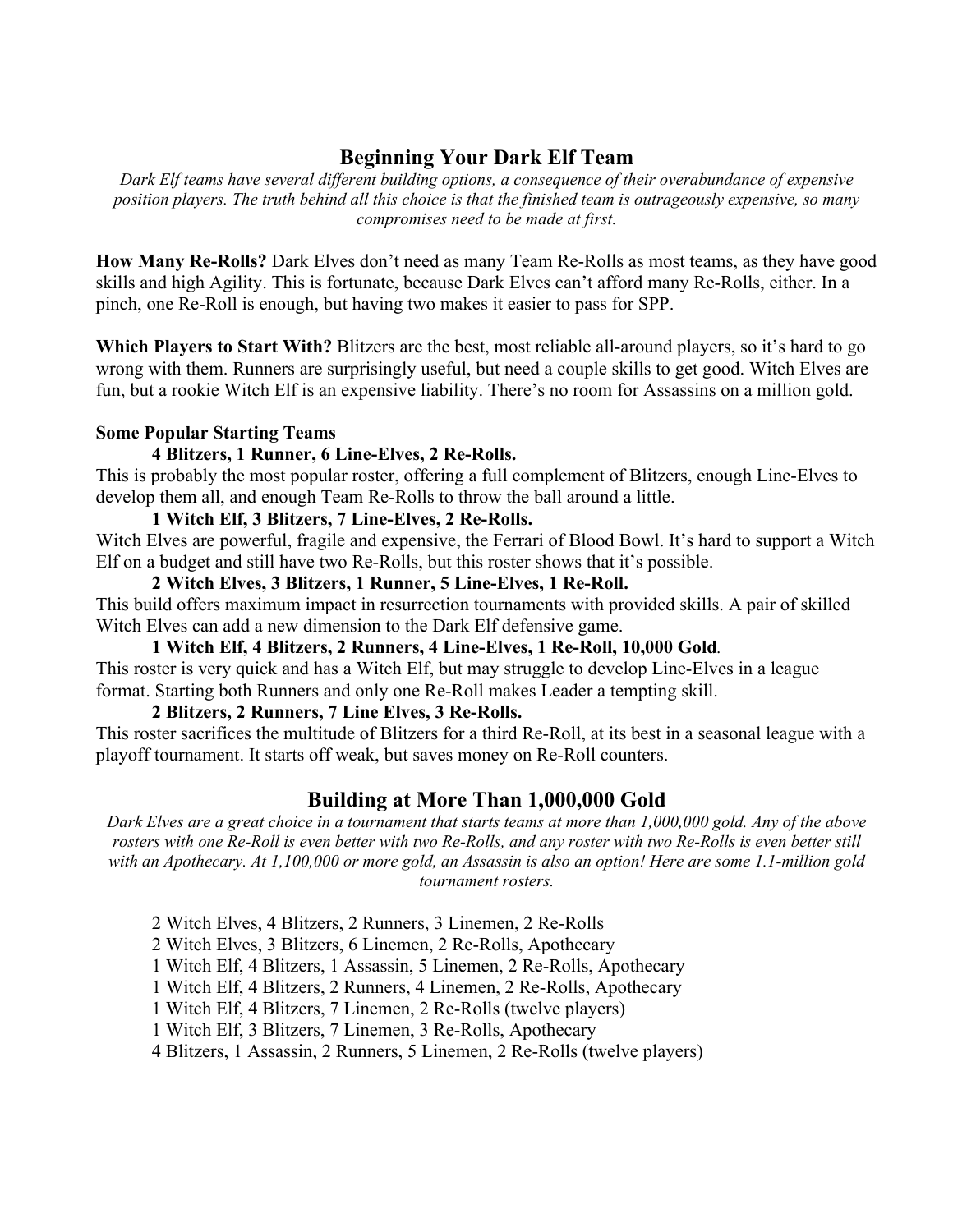## **Beginning Your Dark Elf Team**

*Dark Elf teams have several different building options, a consequence of their overabundance of expensive position players. The truth behind all this choice is that the finished team is outrageously expensive, so many compromises need to be made at first.*

**How Many Re-Rolls?** Dark Elves don't need as many Team Re-Rolls as most teams, as they have good skills and high Agility. This is fortunate, because Dark Elves can't afford many Re-Rolls, either. In a pinch, one Re-Roll is enough, but having two makes it easier to pass for SPP.

**Which Players to Start With?** Blitzers are the best, most reliable all-around players, so it's hard to go wrong with them. Runners are surprisingly useful, but need a couple skills to get good. Witch Elves are fun, but a rookie Witch Elf is an expensive liability. There's no room for Assassins on a million gold.

#### **Some Popular Starting Teams**

#### **4 Blitzers, 1 Runner, 6 Line-Elves, 2 Re-Rolls.**

This is probably the most popular roster, offering a full complement of Blitzers, enough Line-Elves to develop them all, and enough Team Re-Rolls to throw the ball around a little.

#### **1 Witch Elf, 3 Blitzers, 7 Line-Elves, 2 Re-Rolls.**

Witch Elves are powerful, fragile and expensive, the Ferrari of Blood Bowl. It's hard to support a Witch Elf on a budget and still have two Re-Rolls, but this roster shows that it's possible.

#### **2 Witch Elves, 3 Blitzers, 1 Runner, 5 Line-Elves, 1 Re-Roll.**

This build offers maximum impact in resurrection tournaments with provided skills. A pair of skilled Witch Elves can add a new dimension to the Dark Elf defensive game.

#### **1 Witch Elf, 4 Blitzers, 2 Runners, 4 Line-Elves, 1 Re-Roll, 10,000 Gold***.*

This roster is very quick and has a Witch Elf, but may struggle to develop Line-Elves in a league format. Starting both Runners and only one Re-Roll makes Leader a tempting skill.

#### **2 Blitzers, 2 Runners, 7 Line Elves, 3 Re-Rolls.**

This roster sacrifices the multitude of Blitzers for a third Re-Roll, at its best in a seasonal league with a playoff tournament. It starts off weak, but saves money on Re-Roll counters.

## **Building at More Than 1,000,000 Gold**

*Dark Elves are a great choice in a tournament that starts teams at more than 1,000,000 gold. Any of the above rosters with one Re-Roll is even better with two Re-Rolls, and any roster with two Re-Rolls is even better still with an Apothecary. At 1,100,000 or more gold, an Assassin is also an option! Here are some 1.1-million gold tournament rosters.*

2 Witch Elves, 4 Blitzers, 2 Runners, 3 Linemen, 2 Re-Rolls

2 Witch Elves, 3 Blitzers, 6 Linemen, 2 Re-Rolls, Apothecary

1 Witch Elf, 4 Blitzers, 1 Assassin, 5 Linemen, 2 Re-Rolls, Apothecary

1 Witch Elf, 4 Blitzers, 2 Runners, 4 Linemen, 2 Re-Rolls, Apothecary

1 Witch Elf, 4 Blitzers, 7 Linemen, 2 Re-Rolls (twelve players)

1 Witch Elf, 3 Blitzers, 7 Linemen, 3 Re-Rolls, Apothecary

4 Blitzers, 1 Assassin, 2 Runners, 5 Linemen, 2 Re-Rolls (twelve players)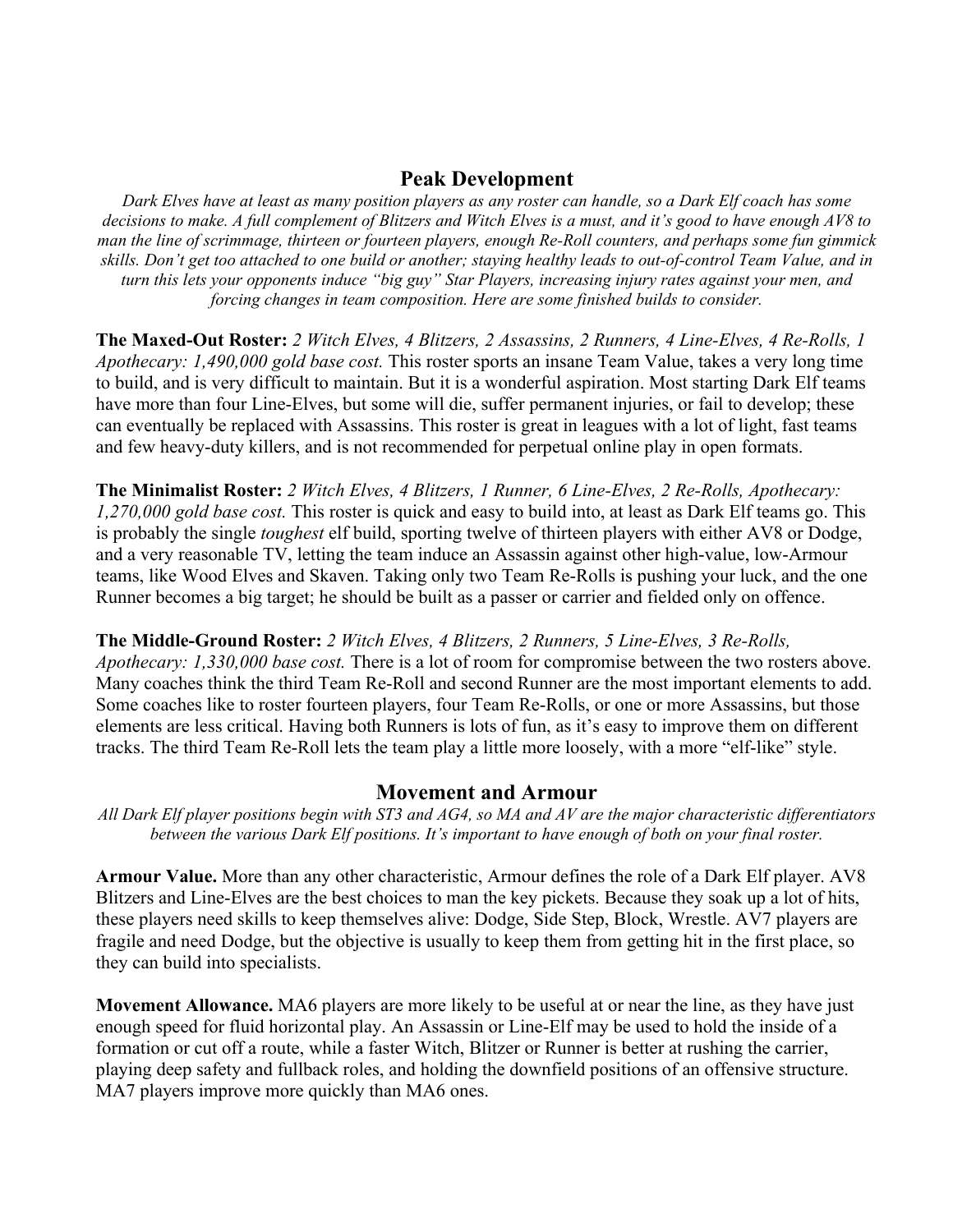## **Peak Development**

*Dark Elves have at least as many position players as any roster can handle, so a Dark Elf coach has some decisions to make. A full complement of Blitzers and Witch Elves is a must, and it's good to have enough AV8 to man the line of scrimmage, thirteen or fourteen players, enough Re-Roll counters, and perhaps some fun gimmick skills. Don't get too attached to one build or another; staying healthy leads to out-of-control Team Value, and in turn this lets your opponents induce "big guy" Star Players, increasing injury rates against your men, and forcing changes in team composition. Here are some finished builds to consider.*

**The Maxed-Out Roster:** *2 Witch Elves, 4 Blitzers, 2 Assassins, 2 Runners, 4 Line-Elves, 4 Re-Rolls, 1 Apothecary: 1,490,000 gold base cost.* This roster sports an insane Team Value, takes a very long time to build, and is very difficult to maintain. But it is a wonderful aspiration. Most starting Dark Elf teams have more than four Line-Elves, but some will die, suffer permanent injuries, or fail to develop; these can eventually be replaced with Assassins. This roster is great in leagues with a lot of light, fast teams and few heavy-duty killers, and is not recommended for perpetual online play in open formats.

**The Minimalist Roster:** *2 Witch Elves, 4 Blitzers, 1 Runner, 6 Line-Elves, 2 Re-Rolls, Apothecary: 1,270,000 gold base cost.* This roster is quick and easy to build into, at least as Dark Elf teams go. This is probably the single *toughest* elf build, sporting twelve of thirteen players with either AV8 or Dodge, and a very reasonable TV, letting the team induce an Assassin against other high-value, low-Armour teams, like Wood Elves and Skaven. Taking only two Team Re-Rolls is pushing your luck, and the one Runner becomes a big target; he should be built as a passer or carrier and fielded only on offence.

#### **The Middle-Ground Roster:** *2 Witch Elves, 4 Blitzers, 2 Runners, 5 Line-Elves, 3 Re-Rolls,*

*Apothecary: 1,330,000 base cost.* There is a lot of room for compromise between the two rosters above. Many coaches think the third Team Re-Roll and second Runner are the most important elements to add. Some coaches like to roster fourteen players, four Team Re-Rolls, or one or more Assassins, but those elements are less critical. Having both Runners is lots of fun, as it's easy to improve them on different tracks. The third Team Re-Roll lets the team play a little more loosely, with a more "elf-like" style.

## **Movement and Armour**

*All Dark Elf player positions begin with ST3 and AG4, so MA and AV are the major characteristic differentiators between the various Dark Elf positions. It's important to have enough of both on your final roster.*

**Armour Value.** More than any other characteristic, Armour defines the role of a Dark Elf player. AV8 Blitzers and Line-Elves are the best choices to man the key pickets. Because they soak up a lot of hits, these players need skills to keep themselves alive: Dodge, Side Step, Block, Wrestle. AV7 players are fragile and need Dodge, but the objective is usually to keep them from getting hit in the first place, so they can build into specialists.

**Movement Allowance.** MA6 players are more likely to be useful at or near the line, as they have just enough speed for fluid horizontal play. An Assassin or Line-Elf may be used to hold the inside of a formation or cut off a route, while a faster Witch, Blitzer or Runner is better at rushing the carrier, playing deep safety and fullback roles, and holding the downfield positions of an offensive structure. MA7 players improve more quickly than MA6 ones.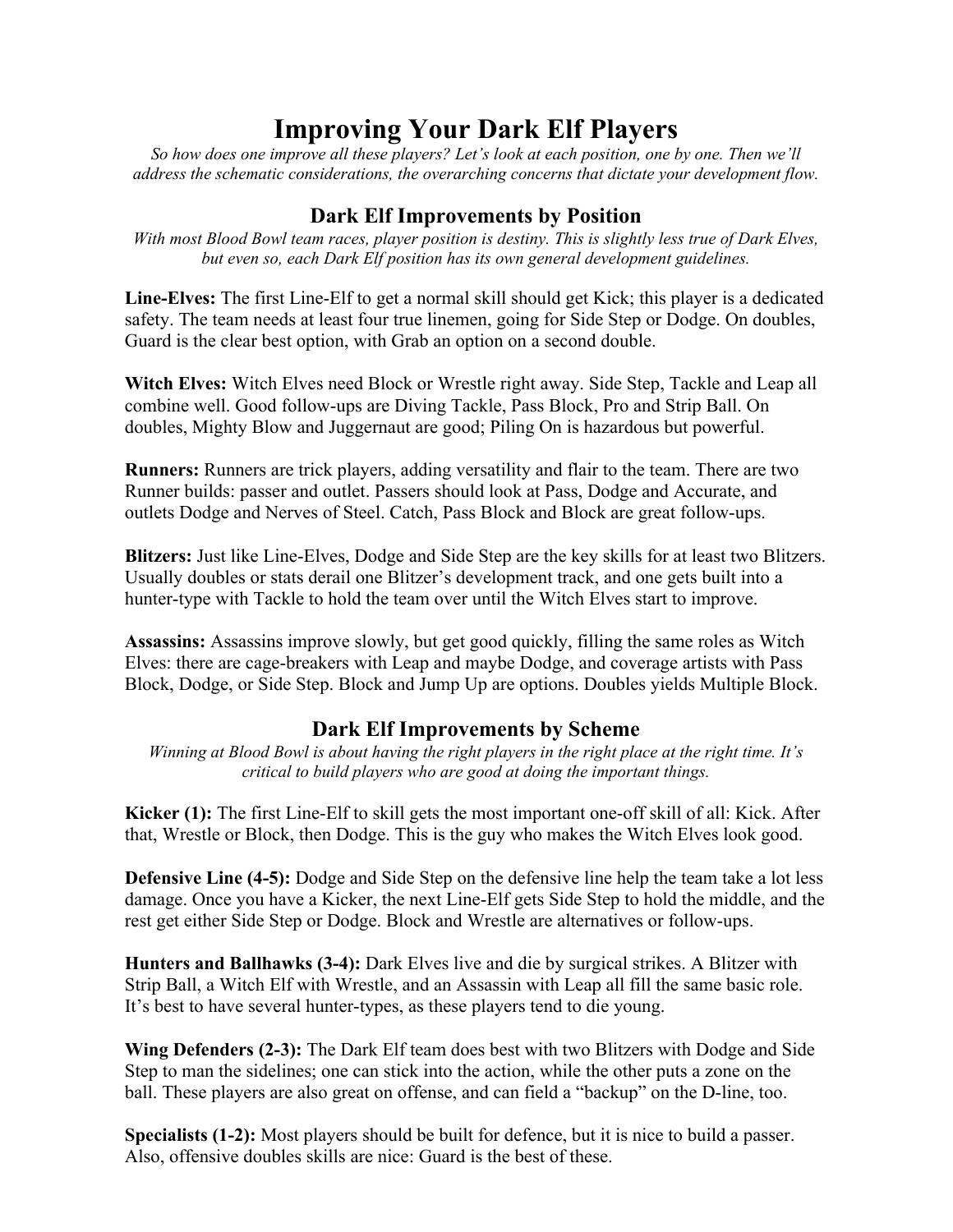# **Improving Your Dark Elf Players**

*So how does one improve all these players? Let's look at each position, one by one. Then we'll address the schematic considerations, the overarching concerns that dictate your development flow.*

## **Dark Elf Improvements by Position**

*With most Blood Bowl team races, player position is destiny. This is slightly less true of Dark Elves, but even so, each Dark Elf position has its own general development guidelines.*

**Line-Elves:** The first Line-Elf to get a normal skill should get Kick; this player is a dedicated safety. The team needs at least four true linemen, going for Side Step or Dodge. On doubles, Guard is the clear best option, with Grab an option on a second double.

**Witch Elves:** Witch Elves need Block or Wrestle right away. Side Step, Tackle and Leap all combine well. Good follow-ups are Diving Tackle, Pass Block, Pro and Strip Ball. On doubles, Mighty Blow and Juggernaut are good; Piling On is hazardous but powerful.

**Runners:** Runners are trick players, adding versatility and flair to the team. There are two Runner builds: passer and outlet. Passers should look at Pass, Dodge and Accurate, and outlets Dodge and Nerves of Steel. Catch, Pass Block and Block are great follow-ups.

**Blitzers:** Just like Line-Elves, Dodge and Side Step are the key skills for at least two Blitzers. Usually doubles or stats derail one Blitzer's development track, and one gets built into a hunter-type with Tackle to hold the team over until the Witch Elves start to improve.

**Assassins:** Assassins improve slowly, but get good quickly, filling the same roles as Witch Elves: there are cage-breakers with Leap and maybe Dodge, and coverage artists with Pass Block, Dodge, or Side Step. Block and Jump Up are options. Doubles yields Multiple Block.

## **Dark Elf Improvements by Scheme**

*Winning at Blood Bowl is about having the right players in the right place at the right time. It's critical to build players who are good at doing the important things.*

**Kicker (1):** The first Line-Elf to skill gets the most important one-off skill of all: Kick. After that, Wrestle or Block, then Dodge. This is the guy who makes the Witch Elves look good.

**Defensive Line (4-5):** Dodge and Side Step on the defensive line help the team take a lot less damage. Once you have a Kicker, the next Line-Elf gets Side Step to hold the middle, and the rest get either Side Step or Dodge. Block and Wrestle are alternatives or follow-ups.

**Hunters and Ballhawks (3-4):** Dark Elves live and die by surgical strikes. A Blitzer with Strip Ball, a Witch Elf with Wrestle, and an Assassin with Leap all fill the same basic role. It's best to have several hunter-types, as these players tend to die young.

**Wing Defenders (2-3):** The Dark Elf team does best with two Blitzers with Dodge and Side Step to man the sidelines; one can stick into the action, while the other puts a zone on the ball. These players are also great on offense, and can field a "backup" on the D-line, too.

**Specialists (1-2):** Most players should be built for defence, but it is nice to build a passer. Also, offensive doubles skills are nice: Guard is the best of these.